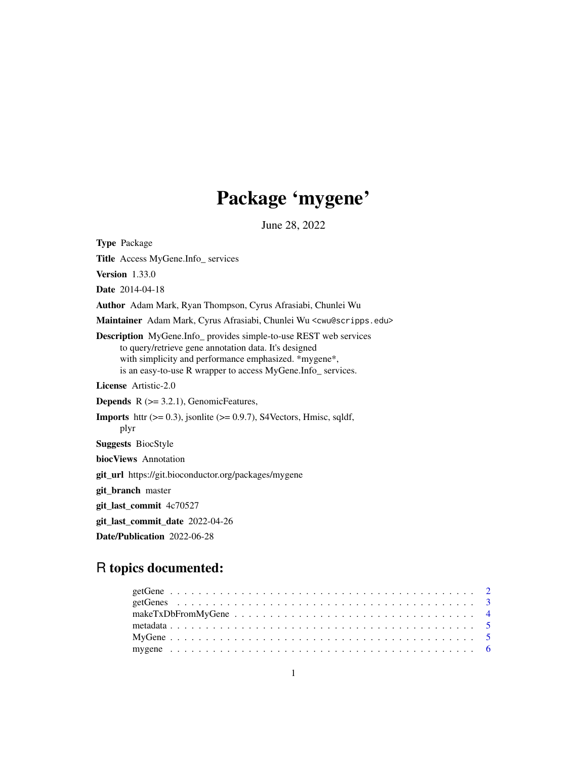## Package 'mygene'

June 28, 2022

<span id="page-0-0"></span>Type Package Title Access MyGene.Info\_ services Version 1.33.0 Date 2014-04-18 Author Adam Mark, Ryan Thompson, Cyrus Afrasiabi, Chunlei Wu Maintainer Adam Mark, Cyrus Afrasiabi, Chunlei Wu <cwu@scripps.edu> Description MyGene.Info\_ provides simple-to-use REST web services to query/retrieve gene annotation data. It's designed with simplicity and performance emphasized. \*mygene\*, is an easy-to-use R wrapper to access MyGene.Info\_ services. License Artistic-2.0 **Depends**  $R$  ( $>= 3.2.1$ ), GenomicFeatures, **Imports** httr  $(>= 0.3)$ , jsonlite  $(>= 0.9.7)$ , S4Vectors, Hmisc, sqldf, plyr Suggests BiocStyle biocViews Annotation git\_url https://git.bioconductor.org/packages/mygene git\_branch master git\_last\_commit 4c70527 git\_last\_commit\_date 2022-04-26 Date/Publication 2022-06-28

## R topics documented: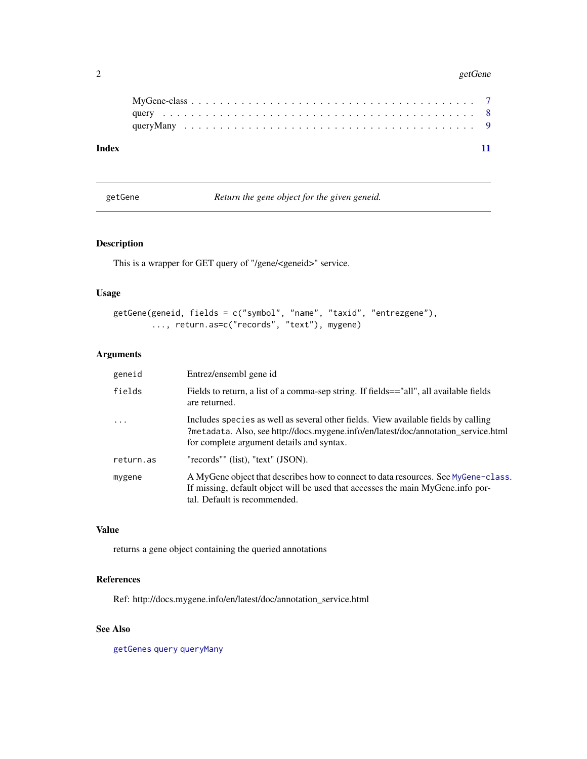#### <span id="page-1-0"></span>2 getGene

| Index |  |  |  |  |  |  |  |  |  |  |  |  |  |  |  |  |  |  |  |
|-------|--|--|--|--|--|--|--|--|--|--|--|--|--|--|--|--|--|--|--|

<span id="page-1-1"></span>getGene *Return the gene object for the given geneid.*

## Description

This is a wrapper for GET query of "/gene/<geneid>" service.

#### Usage

```
getGene(geneid, fields = c("symbol", "name", "taxid", "entrezgene"),
        ..., return.as=c("records", "text"), mygene)
```
#### Arguments

| geneid     | Entrez/ensembl gene id                                                                                                                                                                                                |
|------------|-----------------------------------------------------------------------------------------------------------------------------------------------------------------------------------------------------------------------|
| fields     | Fields to return, a list of a comma-sep string. If fields =="all", all available fields<br>are returned.                                                                                                              |
| $\ddots$ . | Includes species as well as several other fields. View available fields by calling<br>?metadata. Also, see http://docs.mygene.info/en/latest/doc/annotation_service.html<br>for complete argument details and syntax. |
| return.as  | "records"" (list), "text" (JSON).                                                                                                                                                                                     |
| mygene     | A MyGene object that describes how to connect to data resources. See MyGene-class.<br>If missing, default object will be used that accesses the main MyGene. info por-<br>tal. Default is recommended.                |

#### Value

returns a gene object containing the queried annotations

#### References

Ref: http://docs.mygene.info/en/latest/doc/annotation\_service.html

### See Also

[getGenes](#page-2-1) [query](#page-7-1) [queryMany](#page-8-1)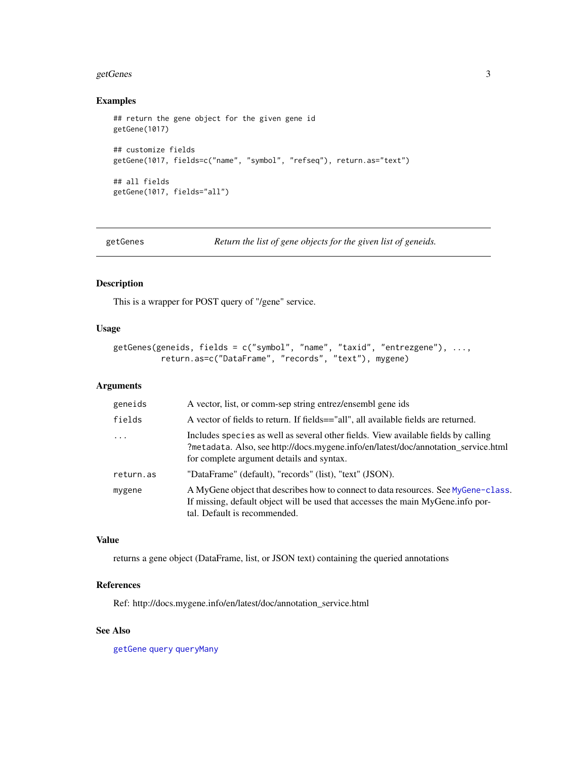#### <span id="page-2-0"></span>getGenes 3

#### Examples

```
## return the gene object for the given gene id
getGene(1017)
## customize fields
getGene(1017, fields=c("name", "symbol", "refseq"), return.as="text")
## all fields
getGene(1017, fields="all")
```
<span id="page-2-1"></span>

getGenes *Return the list of gene objects for the given list of geneids.*

#### Description

This is a wrapper for POST query of "/gene" service.

#### Usage

```
getGenes(geneids, fields = c("symbol", "name", "taxid", "entrezgene"), ...,
         return.as=c("DataFrame", "records", "text"), mygene)
```
#### Arguments

| geneids   | A vector, list, or comm-sep string entrez/ensembl gene ids                                                                                                                                                            |
|-----------|-----------------------------------------------------------------------------------------------------------------------------------------------------------------------------------------------------------------------|
| fields    | A vector of fields to return. If fields=="all", all available fields are returned.                                                                                                                                    |
| $\cdots$  | Includes species as well as several other fields. View available fields by calling<br>?metadata. Also, see http://docs.mygene.info/en/latest/doc/annotation_service.html<br>for complete argument details and syntax. |
| return.as | "DataFrame" (default), "records" (list), "text" (JSON).                                                                                                                                                               |
| mygene    | A MyGene object that describes how to connect to data resources. See MyGene-class.<br>If missing, default object will be used that accesses the main MyGene.info por-<br>tal. Default is recommended.                 |

#### Value

returns a gene object (DataFrame, list, or JSON text) containing the queried annotations

#### References

Ref: http://docs.mygene.info/en/latest/doc/annotation\_service.html

#### See Also

[getGene](#page-1-1) [query](#page-7-1) [queryMany](#page-8-1)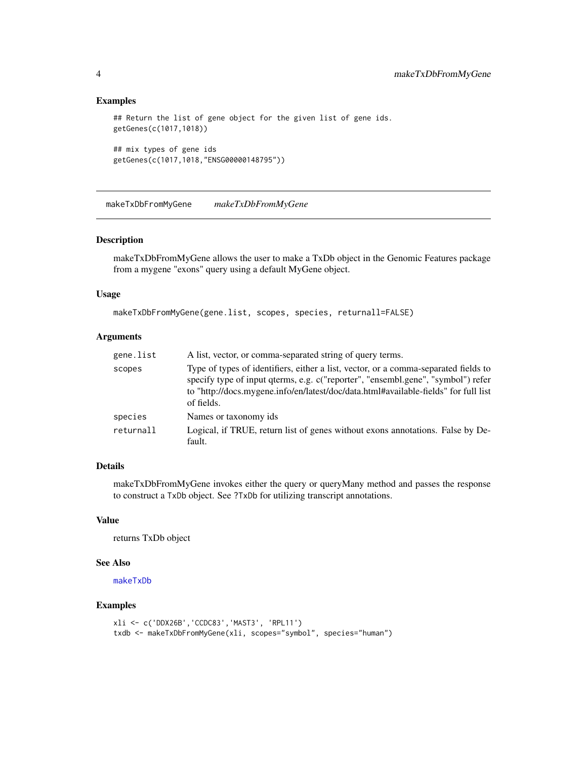#### Examples

```
## Return the list of gene object for the given list of gene ids.
getGenes(c(1017,1018))
## mix types of gene ids
```

```
getGenes(c(1017,1018,"ENSG00000148795"))
```
makeTxDbFromMyGene *makeTxDbFromMyGene*

#### Description

makeTxDbFromMyGene allows the user to make a TxDb object in the Genomic Features package from a mygene "exons" query using a default MyGene object.

#### Usage

```
makeTxDbFromMyGene(gene.list, scopes, species, returnall=FALSE)
```
#### Arguments

| gene.list | A list, vector, or comma-separated string of query terms.                                                                                                                                                                                                                    |
|-----------|------------------------------------------------------------------------------------------------------------------------------------------------------------------------------------------------------------------------------------------------------------------------------|
| scopes    | Type of types of identifiers, either a list, vector, or a comma-separated fields to<br>specify type of input qterms, e.g. c("reporter", "ensembl.gene", "symbol") refer<br>to "http://docs.mygene.info/en/latest/doc/data.html#available-fields" for full list<br>of fields. |
| species   | Names or taxonomy ids                                                                                                                                                                                                                                                        |
| returnall | Logical, if TRUE, return list of genes without exons annotations. False by De-<br>fault.                                                                                                                                                                                     |

#### Details

makeTxDbFromMyGene invokes either the query or queryMany method and passes the response to construct a TxDb object. See ?TxDb for utilizing transcript annotations.

#### Value

returns TxDb object

#### See Also

[makeTxDb](#page-0-0)

#### Examples

```
xli <- c('DDX26B','CCDC83','MAST3', 'RPL11')
txdb <- makeTxDbFromMyGene(xli, scopes="symbol", species="human")
```
<span id="page-3-0"></span>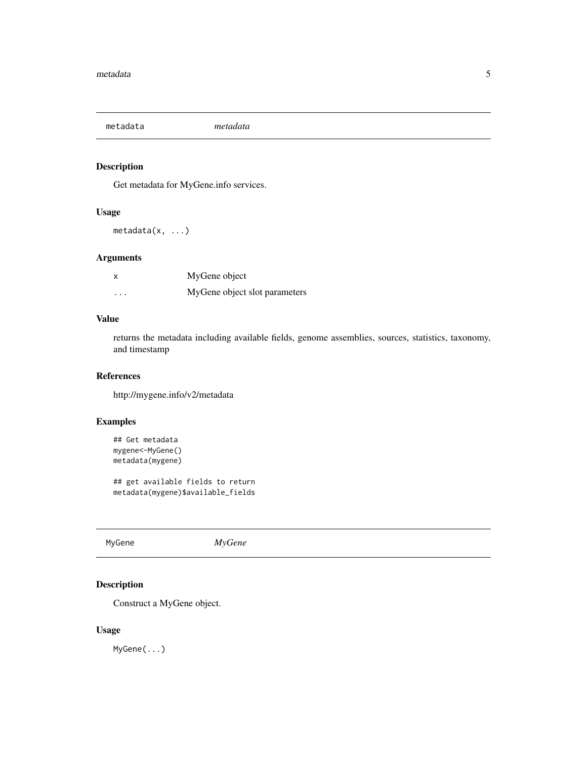<span id="page-4-0"></span>metadata *metadata*

#### Description

Get metadata for MyGene.info services.

### Usage

metadata(x, ...)

#### Arguments

|   | MyGene object                 |
|---|-------------------------------|
| . | MyGene object slot parameters |

#### Value

returns the metadata including available fields, genome assemblies, sources, statistics, taxonomy, and timestamp

#### References

http://mygene.info/v2/metadata

## Examples

```
## Get metadata
mygene<-MyGene()
metadata(mygene)
```
## get available fields to return metadata(mygene)\$available\_fields

MyGene *MyGene*

## Description

Construct a MyGene object.

#### Usage

MyGene(...)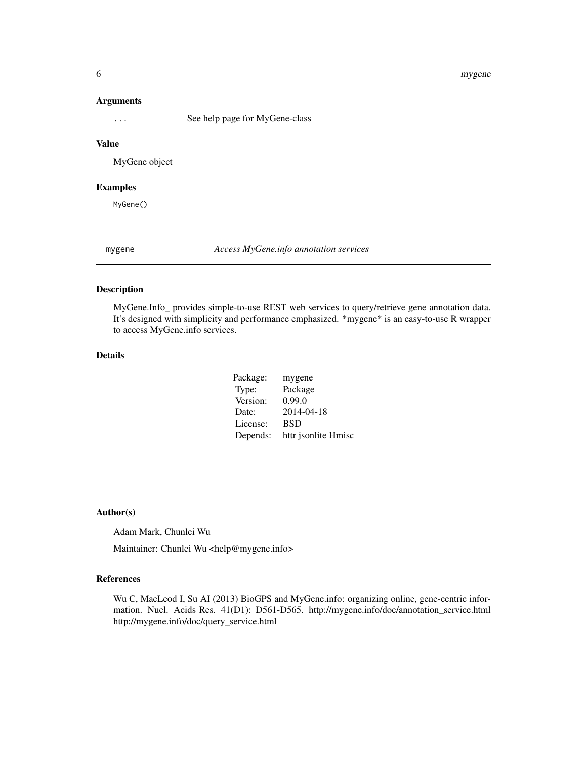#### <span id="page-5-0"></span>6 mygene

#### Arguments

... See help page for MyGene-class

#### Value

MyGene object

#### Examples

MyGene()

mygene *Access MyGene.info annotation services*

#### Description

MyGene.Info\_ provides simple-to-use REST web services to query/retrieve gene annotation data. It's designed with simplicity and performance emphasized. \*mygene\* is an easy-to-use R wrapper to access MyGene.info services.

#### Details

| Package: | mygene              |
|----------|---------------------|
| Type:    | Package             |
| Version: | 0.99.0              |
| Date:    | 2014-04-18          |
| License: | <b>BSD</b>          |
| Depends: | httr jsonlite Hmisc |

#### Author(s)

Adam Mark, Chunlei Wu

Maintainer: Chunlei Wu <help@mygene.info>

#### References

Wu C, MacLeod I, Su AI (2013) BioGPS and MyGene.info: organizing online, gene-centric information. Nucl. Acids Res. 41(D1): D561-D565. http://mygene.info/doc/annotation\_service.html http://mygene.info/doc/query\_service.html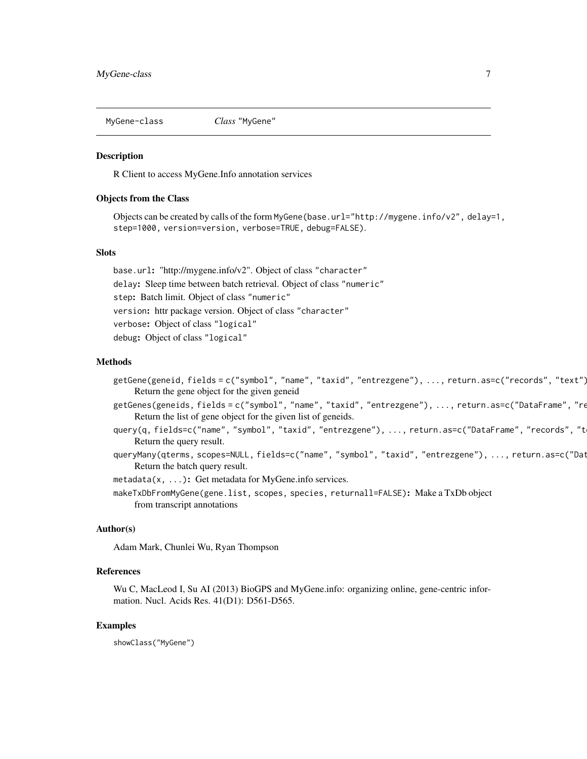<span id="page-6-1"></span><span id="page-6-0"></span>MyGene-class *Class* "MyGene"

#### Description

R Client to access MyGene.Info annotation services

#### Objects from the Class

Objects can be created by calls of the form MyGene(base.url="http://mygene.info/v2", delay=1, step=1000, version=version, verbose=TRUE, debug=FALSE).

#### Slots

base.url: "http://mygene.info/v2". Object of class "character" delay: Sleep time between batch retrieval. Object of class "numeric" step: Batch limit. Object of class "numeric" version: httr package version. Object of class "character" verbose: Object of class "logical" debug: Object of class "logical"

#### Methods

getGene(geneid, fields = c("symbol", "name", "taxid", "entrezgene"), ..., return.as=c("records", "text")): Return the gene object for the given geneid

getGenes(geneids, fields = c("symbol", "name", "taxid", "entrezgene"), ..., return.as=c("DataFrame", "r $\epsilon$ Return the list of gene object for the given list of geneids.

query(q, fields=c("name", "symbol", "taxid", "entrezgene"), ..., return.as=c("DataFrame", "records", "t Return the query result.

queryMany(qterms, scopes=NULL, fields=c("name", "symbol", "taxid", "entrezgene"), ..., return.as=c("Dat Return the batch query result.

metadata(x, ...): Get metadata for MyGene.info services.

makeTxDbFromMyGene(gene.list, scopes, species, returnall=FALSE): Make a TxDb object from transcript annotations

#### Author(s)

Adam Mark, Chunlei Wu, Ryan Thompson

#### References

Wu C, MacLeod I, Su AI (2013) BioGPS and MyGene.info: organizing online, gene-centric information. Nucl. Acids Res. 41(D1): D561-D565.

#### Examples

showClass("MyGene")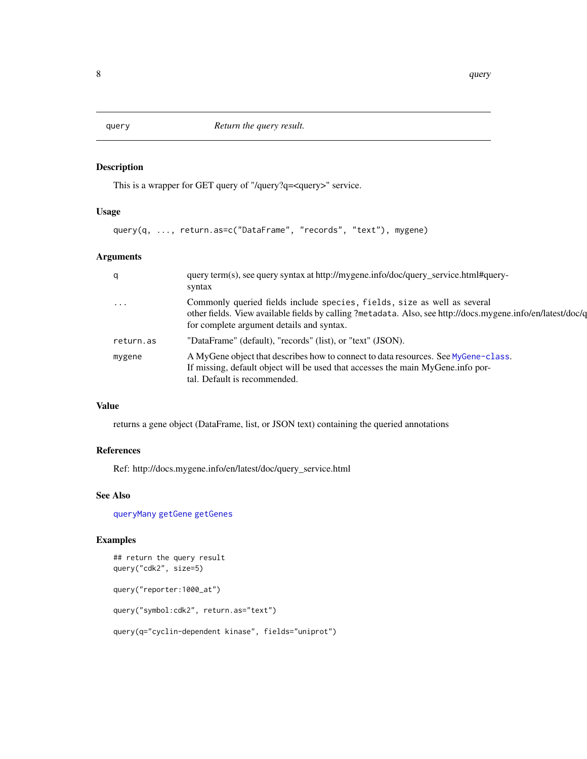<span id="page-7-1"></span><span id="page-7-0"></span>

#### Description

This is a wrapper for GET query of "/query?q=<query>" service.

#### Usage

```
query(q, ..., return.as=c("DataFrame", "records", "text"), mygene)
```
#### Arguments

| q          | query term(s), see query syntax at http://mygene.info/doc/query_service.html#query-<br>syntax                                                                                                                                        |
|------------|--------------------------------------------------------------------------------------------------------------------------------------------------------------------------------------------------------------------------------------|
| $\ddots$ . | Commonly queried fields include species, fields, size as well as several<br>other fields. View available fields by calling ?metadata. Also, see http://docs.mygene.info/en/latest/doc/q<br>for complete argument details and syntax. |
| return.as  | "DataFrame" (default), "records" (list), or "text" (JSON).                                                                                                                                                                           |
| mygene     | A MyGene object that describes how to connect to data resources. See MyGene-class.<br>If missing, default object will be used that accesses the main MyGene.info por-<br>tal. Default is recommended.                                |

## Value

returns a gene object (DataFrame, list, or JSON text) containing the queried annotations

#### References

Ref: http://docs.mygene.info/en/latest/doc/query\_service.html

#### See Also

[queryMany](#page-8-1) [getGene](#page-1-1) [getGenes](#page-2-1)

#### Examples

## return the query result query("cdk2", size=5)

query("reporter:1000\_at")

query("symbol:cdk2", return.as="text")

query(q="cyclin-dependent kinase", fields="uniprot")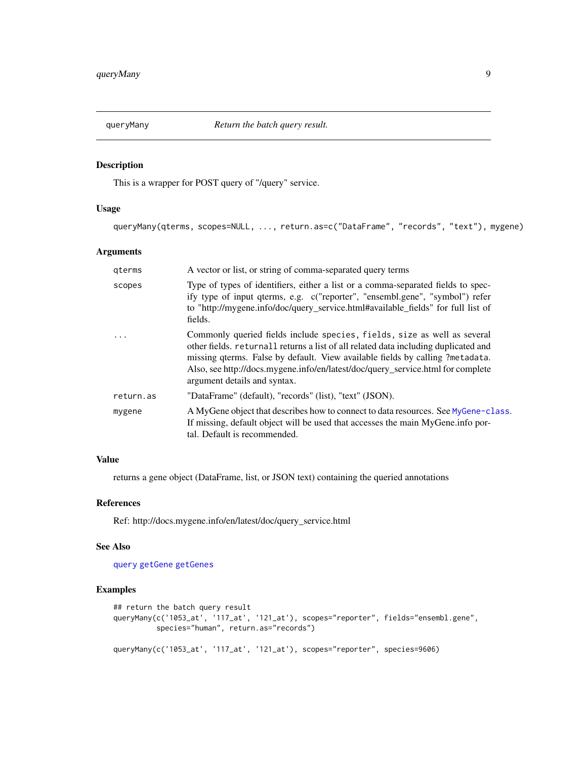<span id="page-8-1"></span><span id="page-8-0"></span>

#### Description

This is a wrapper for POST query of "/query" service.

#### Usage

queryMany(qterms, scopes=NULL, ..., return.as=c("DataFrame", "records", "text"), mygene)

#### Arguments

| gterms    | A vector or list, or string of comma-separated query terms                                                                                                                                                                                                                                                                                                          |
|-----------|---------------------------------------------------------------------------------------------------------------------------------------------------------------------------------------------------------------------------------------------------------------------------------------------------------------------------------------------------------------------|
| scopes    | Type of types of identifiers, either a list or a comma-separated fields to spec-<br>ify type of input gterms, e.g. c("reporter", "ensembl.gene", "symbol") refer<br>to "http://mygene.info/doc/query_service.html#available_fields" for full list of<br>fields.                                                                                                     |
| $\cdot$   | Commonly queried fields include species, fields, size as well as several<br>other fields. returnall returns a list of all related data including duplicated and<br>missing qterms. False by default. View available fields by calling ?metadata.<br>Also, see http://docs.mygene.info/en/latest/doc/query_service.html for complete<br>argument details and syntax. |
| return.as | "DataFrame" (default), "records" (list), "text" (JSON).                                                                                                                                                                                                                                                                                                             |
| mygene    | A MyGene object that describes how to connect to data resources. See MyGene-class.<br>If missing, default object will be used that accesses the main MyGene.info por-<br>tal. Default is recommended.                                                                                                                                                               |

#### Value

returns a gene object (DataFrame, list, or JSON text) containing the queried annotations

#### References

Ref: http://docs.mygene.info/en/latest/doc/query\_service.html

#### See Also

[query](#page-7-1) [getGene](#page-1-1) [getGenes](#page-2-1)

### Examples

```
## return the batch query result
queryMany(c('1053_at', '117_at', '121_at'), scopes="reporter", fields="ensembl.gene",
         species="human", return.as="records")
queryMany(c('1053_at', '117_at', '121_at'), scopes="reporter", species=9606)
```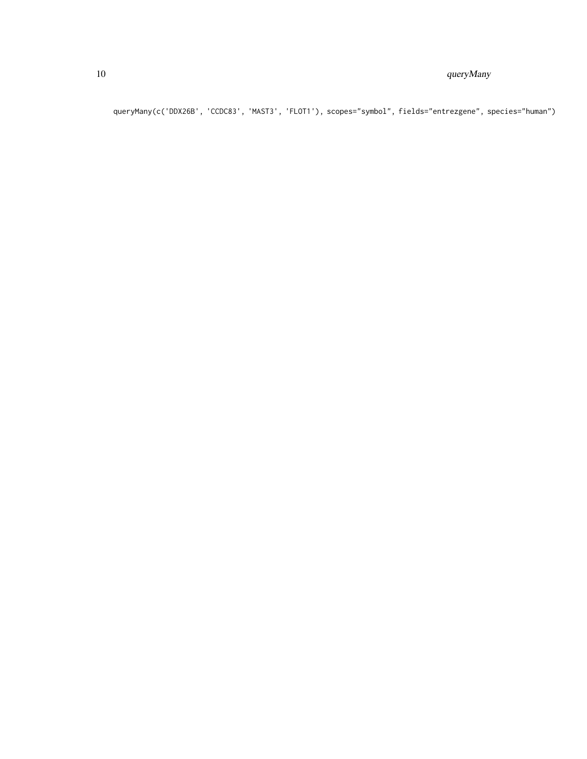## 10 queryMany

queryMany(c('DDX26B', 'CCDC83', 'MAST3', 'FLOT1'), scopes="symbol", fields="entrezgene", species="human")